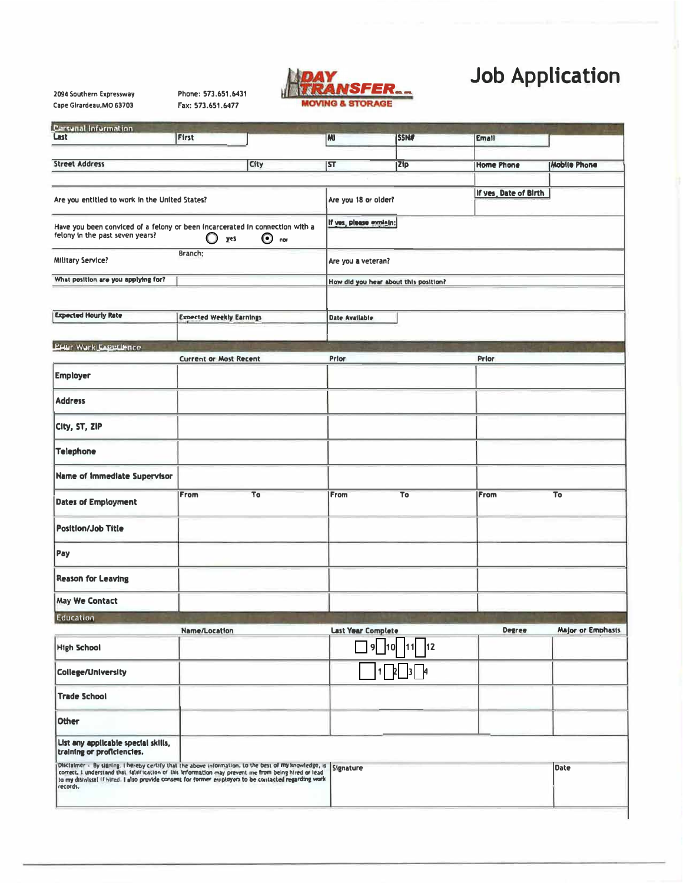|                           | WARZANSFER |  |
|---------------------------|------------|--|
| <b>MOVING &amp; STORA</b> |            |  |

# **Job Application**

Phone: 573.651.6431 2094 Southern Expressway Cape Girardeau, MO 63703 Fax: 573.651.6477

| <b>Personal Information</b>                                                                                                                                                                                                                      |                                 |                         |                                       |                          |                       |                          |  |
|--------------------------------------------------------------------------------------------------------------------------------------------------------------------------------------------------------------------------------------------------|---------------------------------|-------------------------|---------------------------------------|--------------------------|-----------------------|--------------------------|--|
| Last                                                                                                                                                                                                                                             | First                           |                         | <b>M</b>                              | <b>SSN#</b>              | <b>Email</b>          |                          |  |
| <b>Street Address</b>                                                                                                                                                                                                                            |                                 | City                    | 5T                                    | Zip                      | Home Phone            | Mobile Phone             |  |
|                                                                                                                                                                                                                                                  |                                 |                         |                                       |                          |                       |                          |  |
| Are you entitled to work in the United States?                                                                                                                                                                                                   |                                 | Are you 18 or older?    |                                       |                          | If yes, Date of Birth |                          |  |
| Have you been conviced of a felony or been incarcerated in connection with a<br>felony in the past seven years?<br>$\odot$ nor<br>$\bigcirc$<br>yes                                                                                              |                                 | If yes, please explain; |                                       |                          |                       |                          |  |
| Branch:<br><b>Military Service?</b>                                                                                                                                                                                                              |                                 |                         | Are you a veteran?                    |                          |                       |                          |  |
| What position are you applying for?                                                                                                                                                                                                              |                                 |                         | How did you hear about this position? |                          |                       |                          |  |
| <b>Expected Hourly Rate</b>                                                                                                                                                                                                                      | <b>Expected Weekly Earnings</b> |                         | Date Available                        |                          |                       |                          |  |
|                                                                                                                                                                                                                                                  |                                 |                         |                                       |                          |                       |                          |  |
| <b>LEALT Work Experience</b>                                                                                                                                                                                                                     |                                 |                         |                                       |                          |                       |                          |  |
| <b>Employer</b>                                                                                                                                                                                                                                  | <b>Current or Most Recent</b>   |                         | Prior                                 |                          | Prior                 |                          |  |
| <b>Address</b>                                                                                                                                                                                                                                   |                                 |                         |                                       |                          |                       |                          |  |
| City, ST, ZIP                                                                                                                                                                                                                                    |                                 |                         |                                       |                          |                       |                          |  |
| <b>Telephone</b>                                                                                                                                                                                                                                 |                                 |                         |                                       |                          |                       |                          |  |
| <b>Name of Immediate Supervisor</b>                                                                                                                                                                                                              |                                 |                         |                                       |                          |                       |                          |  |
| <b>Dates of Employment</b>                                                                                                                                                                                                                       | From                            | To                      | From                                  | To                       | From                  | To                       |  |
| <b>Position/Job Title</b>                                                                                                                                                                                                                        |                                 |                         |                                       |                          |                       |                          |  |
| Pay                                                                                                                                                                                                                                              |                                 |                         |                                       |                          |                       |                          |  |
| <b>Reason for Leaving</b>                                                                                                                                                                                                                        |                                 |                         |                                       |                          |                       |                          |  |
| <b>May We Contact</b>                                                                                                                                                                                                                            |                                 |                         |                                       |                          |                       |                          |  |
| Education                                                                                                                                                                                                                                        |                                 |                         |                                       |                          |                       |                          |  |
| <b>High School</b>                                                                                                                                                                                                                               | Name/Location                   |                         | <b>Last Year Complete</b><br>9        | 12<br> 11 <br><b>110</b> | <b>Degree</b>         | <b>Major or Emphasis</b> |  |
| <b>College/University</b>                                                                                                                                                                                                                        |                                 |                         |                                       | 3 4<br>11                |                       |                          |  |
| <b>Trade School</b>                                                                                                                                                                                                                              |                                 |                         |                                       |                          |                       |                          |  |
| <b>Other</b>                                                                                                                                                                                                                                     |                                 |                         |                                       |                          |                       |                          |  |
| List any applicable special skills,<br>training or proficiencies.                                                                                                                                                                                |                                 |                         |                                       |                          |                       |                          |  |
| Disclaimer - By signing. I hereby certify that the above information, to the best of my knowledge, is<br>correct, i understand that falsification of this information may prevent me from being hired or lead<br>to my distalssel if<br>records. |                                 |                         | Signature                             |                          |                       | <b>Date</b>              |  |